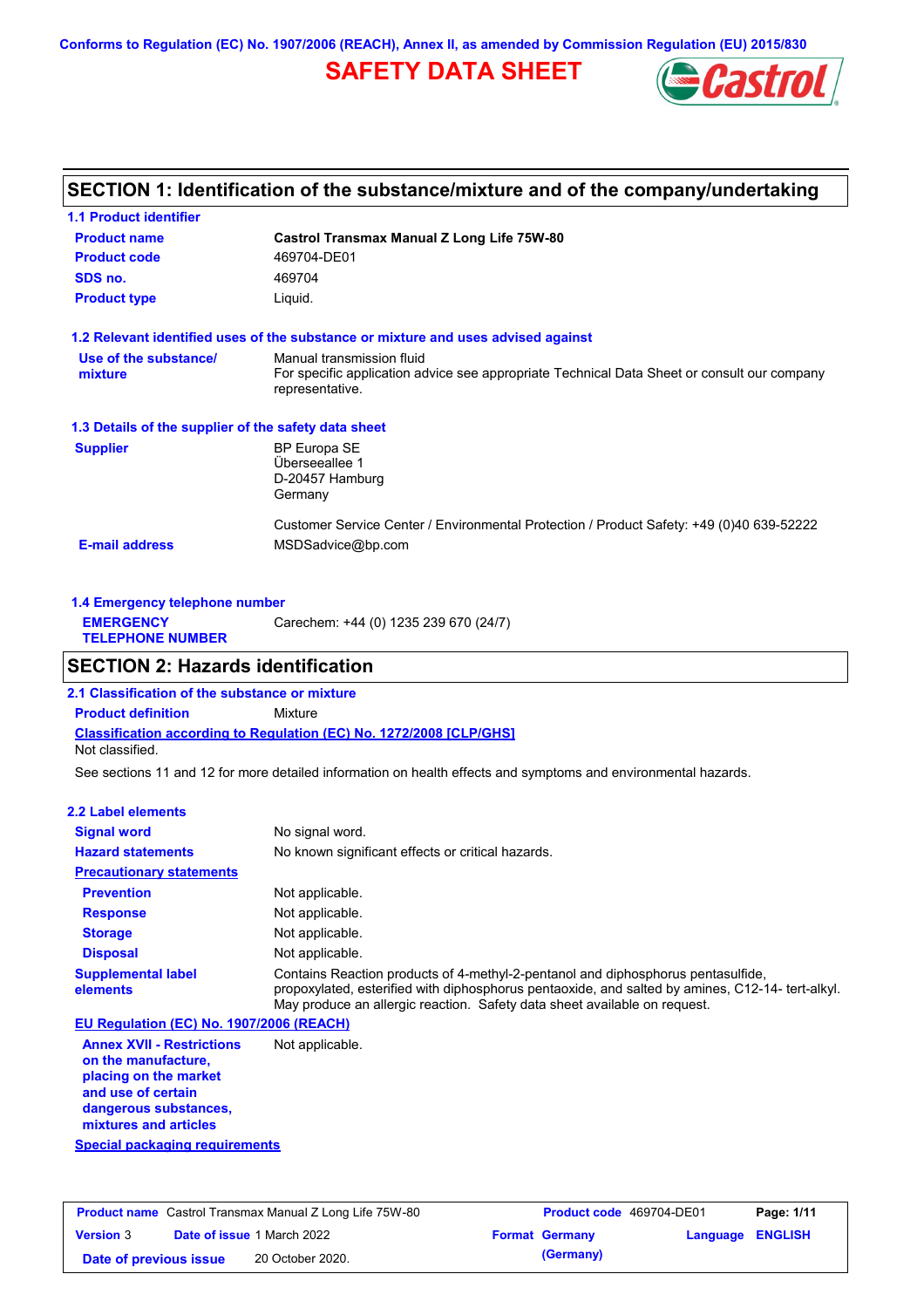**Conforms to Regulation (EC) No. 1907/2006 (REACH), Annex II, as amended by Commission Regulation (EU) 2015/830**

### **SAFETY DATA SHEET**



### **SECTION 1: Identification of the substance/mixture and of the company/undertaking**

| <b>1.1 Product identifier</b>                        |                                                                                                                |
|------------------------------------------------------|----------------------------------------------------------------------------------------------------------------|
| <b>Product name</b>                                  | Castrol Transmax Manual Z Long Life 75W-80                                                                     |
| <b>Product code</b>                                  | 469704-DE01                                                                                                    |
| SDS no.                                              | 469704                                                                                                         |
| <b>Product type</b>                                  | Liquid.                                                                                                        |
|                                                      | 1.2 Relevant identified uses of the substance or mixture and uses advised against                              |
| Use of the substance/                                | Manual transmission fluid                                                                                      |
| mixture                                              | For specific application advice see appropriate Technical Data Sheet or consult our company<br>representative. |
| 1.3 Details of the supplier of the safety data sheet |                                                                                                                |
| <b>Supplier</b>                                      | <b>BP Europa SE</b>                                                                                            |
|                                                      | Überseeallee 1                                                                                                 |
|                                                      | D-20457 Hamburg<br>Germany                                                                                     |
|                                                      | Customer Service Center / Environmental Protection / Product Safety: +49 (0)40 639-52222                       |
| <b>E-mail address</b>                                | MSDSadvice@bp.com                                                                                              |
|                                                      |                                                                                                                |

| 1.4 Emergency telephone number              |                                       |
|---------------------------------------------|---------------------------------------|
| <b>EMERGENCY</b><br><b>TELEPHONE NUMBER</b> | Carechem: +44 (0) 1235 239 670 (24/7) |
|                                             |                                       |

### **SECTION 2: Hazards identification**

**Classification according to Regulation (EC) No. 1272/2008 [CLP/GHS] 2.1 Classification of the substance or mixture Product definition** Mixture Not classified.

See sections 11 and 12 for more detailed information on health effects and symptoms and environmental hazards.

#### **2.2 Label elements**

| <b>Signal word</b>                       | No signal word.                                                                                                                                                                                                                                                   |
|------------------------------------------|-------------------------------------------------------------------------------------------------------------------------------------------------------------------------------------------------------------------------------------------------------------------|
| <b>Hazard statements</b>                 | No known significant effects or critical hazards.                                                                                                                                                                                                                 |
| <b>Precautionary statements</b>          |                                                                                                                                                                                                                                                                   |
| <b>Prevention</b>                        | Not applicable.                                                                                                                                                                                                                                                   |
| <b>Response</b>                          | Not applicable.                                                                                                                                                                                                                                                   |
| <b>Storage</b>                           | Not applicable.                                                                                                                                                                                                                                                   |
| <b>Disposal</b>                          | Not applicable.                                                                                                                                                                                                                                                   |
| <b>Supplemental label</b><br>elements    | Contains Reaction products of 4-methyl-2-pentanol and diphosphorus pentasulfide,<br>propoxylated, esterified with diphosphorus pentaoxide, and salted by amines, C12-14- tert-alkyl.<br>May produce an allergic reaction. Safety data sheet available on request. |
| EU Regulation (EC) No. 1907/2006 (REACH) |                                                                                                                                                                                                                                                                   |
|                                          |                                                                                                                                                                                                                                                                   |

**Annex XVII - Restrictions on the manufacture, placing on the market and use of certain dangerous substances, mixtures and articles** Not applicable.

**Special packaging requirements**

| <b>Product name</b> Castrol Transmax Manual Z Long Life 75W-80 |  | <b>Product code</b> 469704-DE01   |                       | Page: 1/11              |  |
|----------------------------------------------------------------|--|-----------------------------------|-----------------------|-------------------------|--|
| <b>Version 3</b>                                               |  | <b>Date of issue 1 March 2022</b> | <b>Format Germany</b> | <b>Language ENGLISH</b> |  |
| Date of previous issue                                         |  | 20 October 2020.                  | (Germany)             |                         |  |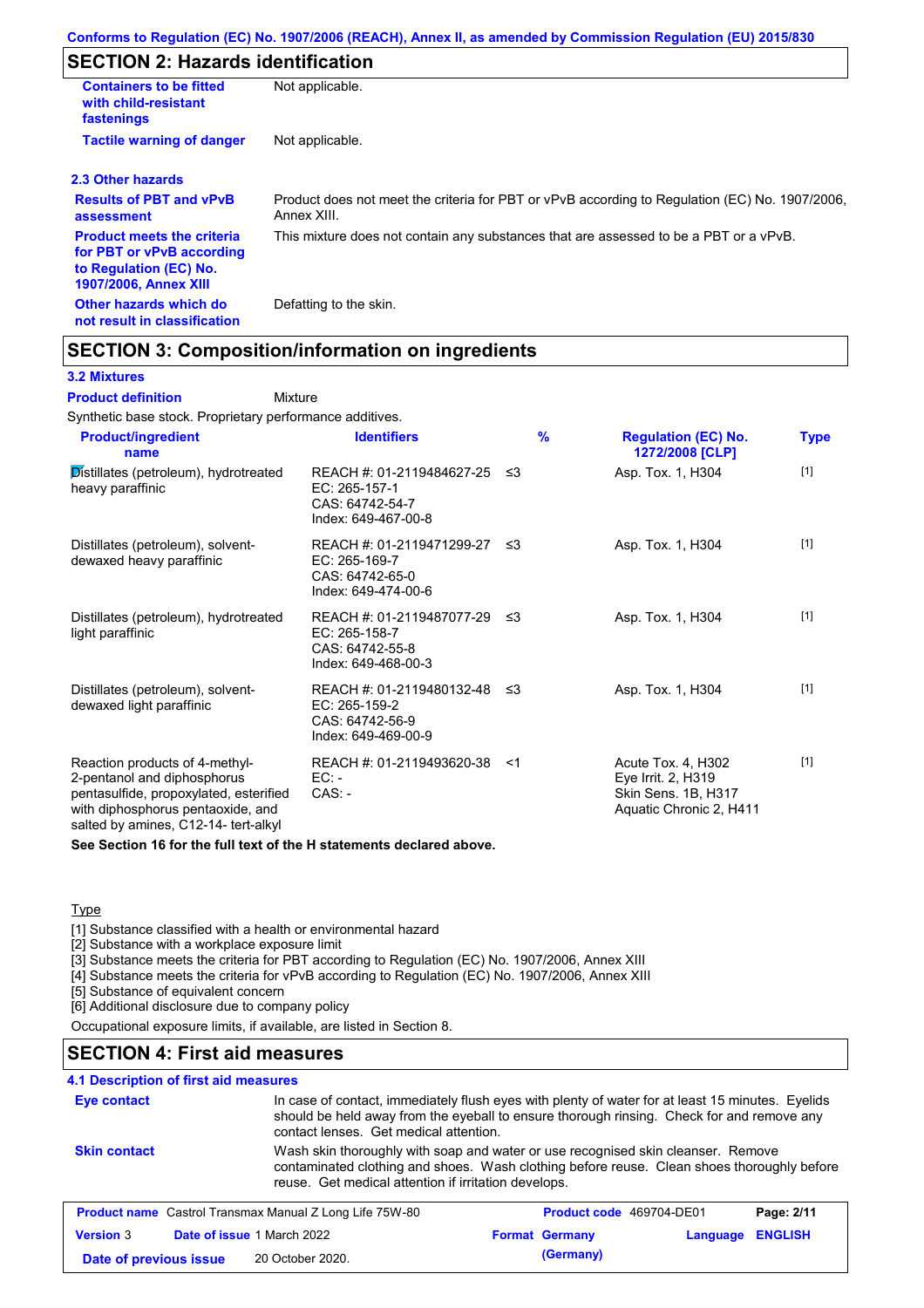### **SECTION 2: Hazards identification**

| <b>Containers to be fitted</b><br>with child-resistant<br>fastenings                                                     | Not applicable.                                                                                               |
|--------------------------------------------------------------------------------------------------------------------------|---------------------------------------------------------------------------------------------------------------|
| <b>Tactile warning of danger</b>                                                                                         | Not applicable.                                                                                               |
| 2.3 Other hazards                                                                                                        |                                                                                                               |
| <b>Results of PBT and vPvB</b><br>assessment                                                                             | Product does not meet the criteria for PBT or vPvB according to Regulation (EC) No. 1907/2006,<br>Annex XIII. |
| <b>Product meets the criteria</b><br>for PBT or vPvB according<br>to Regulation (EC) No.<br><b>1907/2006, Annex XIII</b> | This mixture does not contain any substances that are assessed to be a PBT or a vPvB.                         |
| Other hazards which do<br>not result in classification                                                                   | Defatting to the skin.                                                                                        |

### **SECTION 3: Composition/information on ingredients**

Mixture

#### **3.2 Mixtures**

**Product definition**

Synthetic base stock. Proprietary performance additives.

| <b>Product/ingredient</b><br>name                                                                                                                                                    | <b>Identifiers</b>                                                                            | $\frac{9}{6}$ | <b>Regulation (EC) No.</b><br>1272/2008 [CLP]                                              | <b>Type</b> |
|--------------------------------------------------------------------------------------------------------------------------------------------------------------------------------------|-----------------------------------------------------------------------------------------------|---------------|--------------------------------------------------------------------------------------------|-------------|
| Distillates (petroleum), hydrotreated<br>heavy paraffinic                                                                                                                            | REACH #: 01-2119484627-25<br>EC: 265-157-1<br>CAS: 64742-54-7<br>Index: 649-467-00-8          | -≤3           | Asp. Tox. 1, H304                                                                          | $[1]$       |
| Distillates (petroleum), solvent-<br>dewaxed heavy paraffinic                                                                                                                        | REACH #: 01-2119471299-27 ≤3<br>EC: 265-169-7<br>CAS: 64742-65-0<br>Index: 649-474-00-6       |               | Asp. Tox. 1, H304                                                                          | $[1]$       |
| Distillates (petroleum), hydrotreated<br>light paraffinic                                                                                                                            | REACH #: 01-2119487077-29 ≤3<br>EC: 265-158-7<br>CAS: 64742-55-8<br>Index: 649-468-00-3       |               | Asp. Tox. 1, H304                                                                          | $[1]$       |
| Distillates (petroleum), solvent-<br>dewaxed light paraffinic                                                                                                                        | REACH #: 01-2119480132-48 $\leq$ 3<br>EC: 265-159-2<br>CAS: 64742-56-9<br>Index: 649-469-00-9 |               | Asp. Tox. 1, H304                                                                          | $[1]$       |
| Reaction products of 4-methyl-<br>2-pentanol and diphosphorus<br>pentasulfide, propoxylated, esterified<br>with diphosphorus pentaoxide, and<br>salted by amines, C12-14- tert-alkyl | REACH #: 01-2119493620-38<br>$EC:$ -<br>$CAS: -$                                              | -≺1           | Acute Tox. 4, H302<br>Eye Irrit. 2, H319<br>Skin Sens. 1B, H317<br>Aquatic Chronic 2, H411 | $[1]$       |

**See Section 16 for the full text of the H statements declared above.**

#### **Type**

[1] Substance classified with a health or environmental hazard

[2] Substance with a workplace exposure limit

[3] Substance meets the criteria for PBT according to Regulation (EC) No. 1907/2006, Annex XIII

[4] Substance meets the criteria for vPvB according to Regulation (EC) No. 1907/2006, Annex XIII

[5] Substance of equivalent concern

[6] Additional disclosure due to company policy

Occupational exposure limits, if available, are listed in Section 8.

#### **SECTION 4: First aid measures**

#### **4.1 Description of first aid measures**

| Eye contact            |                                                                                                                                                                                                                                        | In case of contact, immediately flush eyes with plenty of water for at least 15 minutes. Eyelids<br>should be held away from the eyeball to ensure thorough rinsing. Check for and remove any<br>contact lenses. Get medical attention. |                                 |                |
|------------------------|----------------------------------------------------------------------------------------------------------------------------------------------------------------------------------------------------------------------------------------|-----------------------------------------------------------------------------------------------------------------------------------------------------------------------------------------------------------------------------------------|---------------------------------|----------------|
| <b>Skin contact</b>    | Wash skin thoroughly with soap and water or use recognised skin cleanser. Remove<br>contaminated clothing and shoes. Wash clothing before reuse. Clean shoes thoroughly before<br>reuse. Get medical attention if irritation develops. |                                                                                                                                                                                                                                         |                                 |                |
|                        | <b>Product name</b> Castrol Transmax Manual Z Long Life 75W-80                                                                                                                                                                         |                                                                                                                                                                                                                                         | <b>Product code</b> 469704-DE01 | Page: 2/11     |
| <b>Version 3</b>       | Date of issue 1 March 2022                                                                                                                                                                                                             | <b>Format Germany</b>                                                                                                                                                                                                                   | Language                        | <b>ENGLISH</b> |
| Date of previous issue | 20 October 2020.                                                                                                                                                                                                                       | (Germany)                                                                                                                                                                                                                               |                                 |                |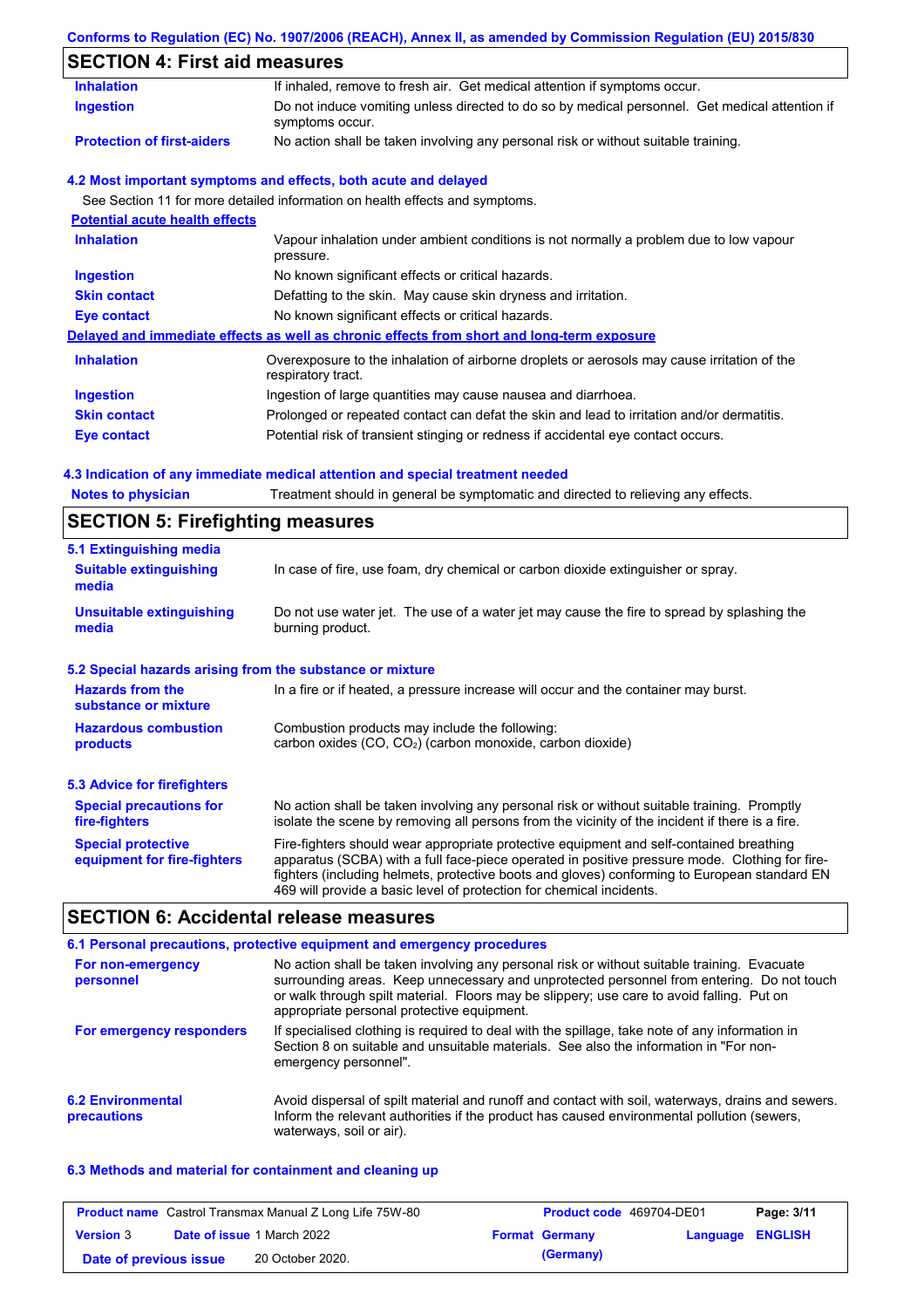#### **Conforms to Regulation (EC) No. 1907/2006 (REACH), Annex II, as amended by Commission Regulation (EU) 2015/830**

| <b>Inhalation</b>                               | If inhaled, remove to fresh air. Get medical attention if symptoms occur.                                         |  |  |  |  |
|-------------------------------------------------|-------------------------------------------------------------------------------------------------------------------|--|--|--|--|
| <b>Ingestion</b>                                | Do not induce vomiting unless directed to do so by medical personnel. Get medical attention if<br>symptoms occur. |  |  |  |  |
| <b>Protection of first-aiders</b>               | No action shall be taken involving any personal risk or without suitable training.                                |  |  |  |  |
|                                                 | 4.2 Most important symptoms and effects, both acute and delayed                                                   |  |  |  |  |
|                                                 | See Section 11 for more detailed information on health effects and symptoms.                                      |  |  |  |  |
| <b>Potential acute health effects</b>           |                                                                                                                   |  |  |  |  |
| <b>Inhalation</b>                               | Vapour inhalation under ambient conditions is not normally a problem due to low vapour<br>pressure.               |  |  |  |  |
| <b>Ingestion</b>                                | No known significant effects or critical hazards.                                                                 |  |  |  |  |
| <b>Skin contact</b>                             | Defatting to the skin. May cause skin dryness and irritation.                                                     |  |  |  |  |
| Eye contact                                     | No known significant effects or critical hazards.                                                                 |  |  |  |  |
|                                                 | Delayed and immediate effects as well as chronic effects from short and long-term exposure                        |  |  |  |  |
| <b>Inhalation</b>                               | Overexposure to the inhalation of airborne droplets or aerosols may cause irritation of the<br>respiratory tract. |  |  |  |  |
| <b>Ingestion</b>                                | Ingestion of large quantities may cause nausea and diarrhoea.                                                     |  |  |  |  |
| <b>Skin contact</b>                             | Prolonged or repeated contact can defat the skin and lead to irritation and/or dermatitis.                        |  |  |  |  |
| <b>Eye contact</b>                              | Potential risk of transient stinging or redness if accidental eye contact occurs.                                 |  |  |  |  |
|                                                 | 4.3 Indication of any immediate medical attention and special treatment needed                                    |  |  |  |  |
| <b>Notes to physician</b>                       | Treatment should in general be symptomatic and directed to relieving any effects.                                 |  |  |  |  |
| <b>SECTION 5: Firefighting measures</b>         |                                                                                                                   |  |  |  |  |
| 5.1 Extinguishing media                         |                                                                                                                   |  |  |  |  |
| <b>Suitable extinguishing</b><br>media          | In case of fire, use foam, dry chemical or carbon dioxide extinguisher or spray.                                  |  |  |  |  |
| <b>Unsuitable extinguishing</b><br>media        | Do not use water jet. The use of a water jet may cause the fire to spread by splashing the<br>burning product.    |  |  |  |  |
|                                                 | 5.2 Special hazards arising from the substance or mixture                                                         |  |  |  |  |
| <b>Hazards from the</b><br>substance or mixture | In a fire or if heated, a pressure increase will occur and the container may burst.                               |  |  |  |  |
| <b>Hazardous combustion</b>                     | Combustion products may include the following:                                                                    |  |  |  |  |

No action shall be taken involving any personal risk or without suitable training. Promptly isolate the scene by removing all persons from the vicinity of the incident if there is a fire. Fire-fighters should wear appropriate protective equipment and self-contained breathing apparatus (SCBA) with a full face-piece operated in positive pressure mode. Clothing for firefighters (including helmets, protective boots and gloves) conforming to European standard EN **Special protective equipment for fire-fighters 5.3 Advice for firefighters Special precautions for fire-fighters**

### **SECTION 6: Accidental release measures**

|                                         | 6.1 Personal precautions, protective equipment and emergency procedures                                                                                                                                                                                                                                                             |
|-----------------------------------------|-------------------------------------------------------------------------------------------------------------------------------------------------------------------------------------------------------------------------------------------------------------------------------------------------------------------------------------|
| For non-emergency<br>personnel          | No action shall be taken involving any personal risk or without suitable training. Evacuate<br>surrounding areas. Keep unnecessary and unprotected personnel from entering. Do not touch<br>or walk through spilt material. Floors may be slippery; use care to avoid falling. Put on<br>appropriate personal protective equipment. |
| For emergency responders                | If specialised clothing is required to deal with the spillage, take note of any information in<br>Section 8 on suitable and unsuitable materials. See also the information in "For non-<br>emergency personnel".                                                                                                                    |
| <b>6.2 Environmental</b><br>precautions | Avoid dispersal of spilt material and runoff and contact with soil, waterways, drains and sewers.<br>Inform the relevant authorities if the product has caused environmental pollution (sewers,<br>waterways, soil or air).                                                                                                         |

469 will provide a basic level of protection for chemical incidents.

#### **6.3 Methods and material for containment and cleaning up**

|                        | <b>Product name</b> Castrol Transmax Manual Z Long Life 75W-80 | <b>Product code</b> 469704-DE01 |                  | Page: 3/11 |
|------------------------|----------------------------------------------------------------|---------------------------------|------------------|------------|
| <b>Version 3</b>       | <b>Date of issue 1 March 2022</b>                              | <b>Format Germany</b>           | Language ENGLISH |            |
| Date of previous issue | 20 October 2020.                                               | (Germany)                       |                  |            |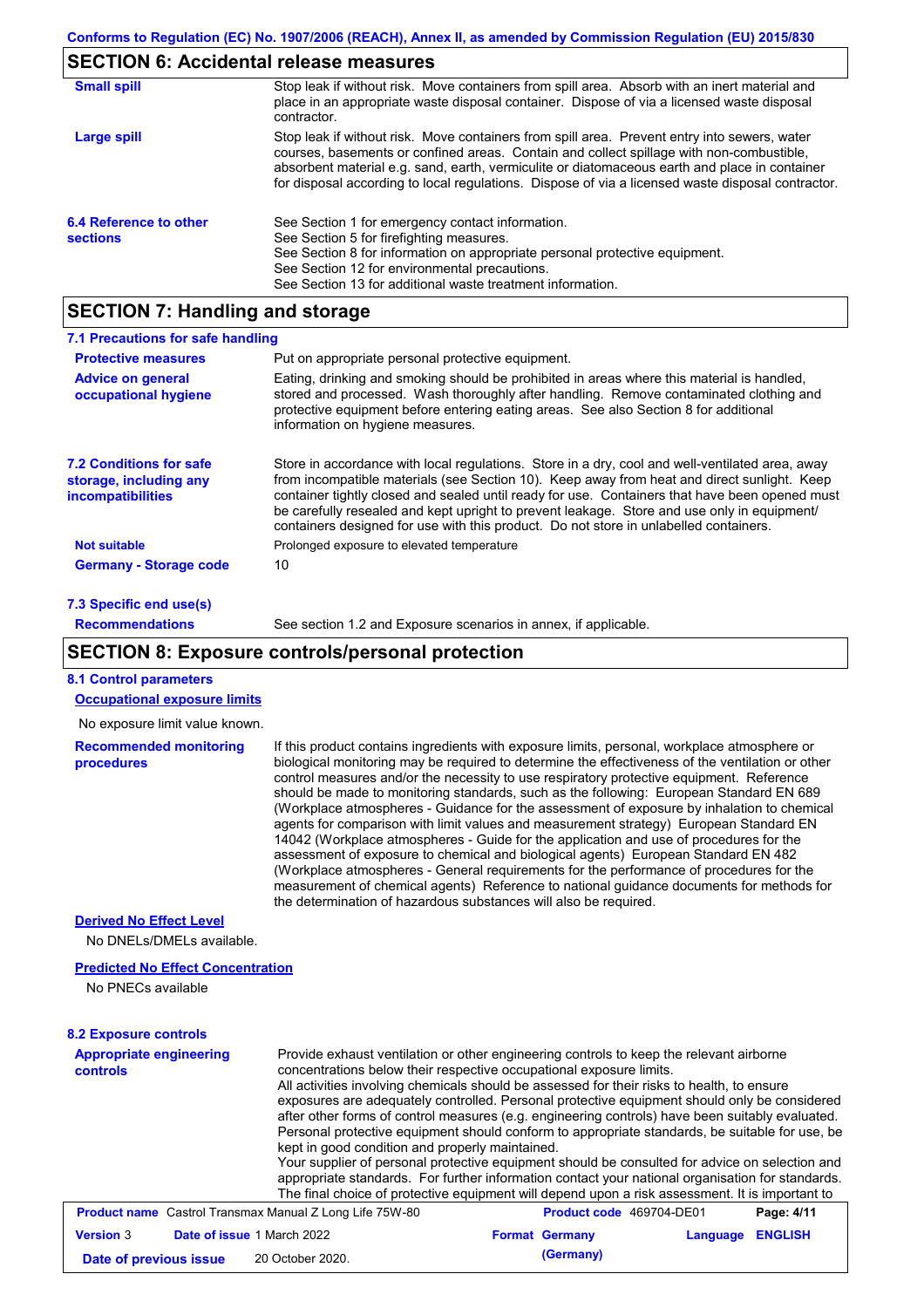## **SECTION 6: Accidental release measures**

| <b>Small spill</b>                        | Stop leak if without risk. Move containers from spill area. Absorb with an inert material and<br>place in an appropriate waste disposal container. Dispose of via a licensed waste disposal<br>contractor.                                                                                                                                                                                     |
|-------------------------------------------|------------------------------------------------------------------------------------------------------------------------------------------------------------------------------------------------------------------------------------------------------------------------------------------------------------------------------------------------------------------------------------------------|
| Large spill                               | Stop leak if without risk. Move containers from spill area. Prevent entry into sewers, water<br>courses, basements or confined areas. Contain and collect spillage with non-combustible,<br>absorbent material e.g. sand, earth, vermiculite or diatomaceous earth and place in container<br>for disposal according to local regulations. Dispose of via a licensed waste disposal contractor. |
| 6.4 Reference to other<br><b>sections</b> | See Section 1 for emergency contact information.<br>See Section 5 for firefighting measures.<br>See Section 8 for information on appropriate personal protective equipment.<br>See Section 12 for environmental precautions.<br>See Section 13 for additional waste treatment information.                                                                                                     |

# **SECTION 7: Handling and storage**

| 7.1 Precautions for safe handling                                                                             |                                                                                                                                                                                                                                                                                                                                                                                                                                                                                          |
|---------------------------------------------------------------------------------------------------------------|------------------------------------------------------------------------------------------------------------------------------------------------------------------------------------------------------------------------------------------------------------------------------------------------------------------------------------------------------------------------------------------------------------------------------------------------------------------------------------------|
| <b>Protective measures</b>                                                                                    | Put on appropriate personal protective equipment.                                                                                                                                                                                                                                                                                                                                                                                                                                        |
| <b>Advice on general</b><br>occupational hygiene                                                              | Eating, drinking and smoking should be prohibited in areas where this material is handled,<br>stored and processed. Wash thoroughly after handling. Remove contaminated clothing and<br>protective equipment before entering eating areas. See also Section 8 for additional<br>information on hygiene measures.                                                                                                                                                                         |
| <b>7.2 Conditions for safe</b><br>storage, including any<br>incompatibilities                                 | Store in accordance with local regulations. Store in a dry, cool and well-ventilated area, away<br>from incompatible materials (see Section 10). Keep away from heat and direct sunlight. Keep<br>container tightly closed and sealed until ready for use. Containers that have been opened must<br>be carefully resealed and kept upright to prevent leakage. Store and use only in equipment/<br>containers designed for use with this product. Do not store in unlabelled containers. |
| <b>Not suitable</b>                                                                                           | Prolonged exposure to elevated temperature                                                                                                                                                                                                                                                                                                                                                                                                                                               |
| <b>Germany - Storage code</b>                                                                                 | 10                                                                                                                                                                                                                                                                                                                                                                                                                                                                                       |
| $\overline{z}$ 0.0 $\overline{z}$ and $\overline{z}$ and $\overline{z}$ and $\overline{z}$ and $\overline{z}$ |                                                                                                                                                                                                                                                                                                                                                                                                                                                                                          |

#### **7.3 Specific end use(s) Recommendations**

See section 1.2 and Exposure scenarios in annex, if applicable.

### **SECTION 8: Exposure controls/personal protection**

| <b>8.1 Control parameters</b>                                  |                                                                                                                                                                                                                                                                                                                                                                                                                                                                                                                                                                                                                                                                                                                                                                                                                                                                                                                                                                                                                            |                          |          |                |
|----------------------------------------------------------------|----------------------------------------------------------------------------------------------------------------------------------------------------------------------------------------------------------------------------------------------------------------------------------------------------------------------------------------------------------------------------------------------------------------------------------------------------------------------------------------------------------------------------------------------------------------------------------------------------------------------------------------------------------------------------------------------------------------------------------------------------------------------------------------------------------------------------------------------------------------------------------------------------------------------------------------------------------------------------------------------------------------------------|--------------------------|----------|----------------|
| <b>Occupational exposure limits</b>                            |                                                                                                                                                                                                                                                                                                                                                                                                                                                                                                                                                                                                                                                                                                                                                                                                                                                                                                                                                                                                                            |                          |          |                |
| No exposure limit value known.                                 |                                                                                                                                                                                                                                                                                                                                                                                                                                                                                                                                                                                                                                                                                                                                                                                                                                                                                                                                                                                                                            |                          |          |                |
| <b>Recommended monitoring</b><br>procedures                    | If this product contains ingredients with exposure limits, personal, workplace atmosphere or<br>biological monitoring may be required to determine the effectiveness of the ventilation or other<br>control measures and/or the necessity to use respiratory protective equipment. Reference<br>should be made to monitoring standards, such as the following: European Standard EN 689<br>(Workplace atmospheres - Guidance for the assessment of exposure by inhalation to chemical<br>agents for comparison with limit values and measurement strategy) European Standard EN<br>14042 (Workplace atmospheres - Guide for the application and use of procedures for the<br>assessment of exposure to chemical and biological agents) European Standard EN 482<br>(Workplace atmospheres - General requirements for the performance of procedures for the<br>measurement of chemical agents) Reference to national guidance documents for methods for<br>the determination of hazardous substances will also be required. |                          |          |                |
| <b>Derived No Effect Level</b>                                 |                                                                                                                                                                                                                                                                                                                                                                                                                                                                                                                                                                                                                                                                                                                                                                                                                                                                                                                                                                                                                            |                          |          |                |
| No DNELs/DMELs available.                                      |                                                                                                                                                                                                                                                                                                                                                                                                                                                                                                                                                                                                                                                                                                                                                                                                                                                                                                                                                                                                                            |                          |          |                |
| <b>Predicted No Effect Concentration</b>                       |                                                                                                                                                                                                                                                                                                                                                                                                                                                                                                                                                                                                                                                                                                                                                                                                                                                                                                                                                                                                                            |                          |          |                |
| No PNECs available                                             |                                                                                                                                                                                                                                                                                                                                                                                                                                                                                                                                                                                                                                                                                                                                                                                                                                                                                                                                                                                                                            |                          |          |                |
| <b>8.2 Exposure controls</b>                                   |                                                                                                                                                                                                                                                                                                                                                                                                                                                                                                                                                                                                                                                                                                                                                                                                                                                                                                                                                                                                                            |                          |          |                |
| <b>Appropriate engineering</b><br>controls                     | Provide exhaust ventilation or other engineering controls to keep the relevant airborne<br>concentrations below their respective occupational exposure limits.<br>All activities involving chemicals should be assessed for their risks to health, to ensure<br>exposures are adequately controlled. Personal protective equipment should only be considered<br>after other forms of control measures (e.g. engineering controls) have been suitably evaluated.<br>Personal protective equipment should conform to appropriate standards, be suitable for use, be<br>kept in good condition and properly maintained.<br>Your supplier of personal protective equipment should be consulted for advice on selection and<br>appropriate standards. For further information contact your national organisation for standards.<br>The final choice of protective equipment will depend upon a risk assessment. It is important to                                                                                              |                          |          |                |
| <b>Product name</b> Castrol Transmax Manual Z Long Life 75W-80 |                                                                                                                                                                                                                                                                                                                                                                                                                                                                                                                                                                                                                                                                                                                                                                                                                                                                                                                                                                                                                            | Product code 469704-DE01 |          | Page: 4/11     |
| <b>Version 3</b><br>Date of issue 1 March 2022                 |                                                                                                                                                                                                                                                                                                                                                                                                                                                                                                                                                                                                                                                                                                                                                                                                                                                                                                                                                                                                                            | <b>Format Germany</b>    | Language | <b>ENGLISH</b> |
| Date of previous issue                                         | 20 October 2020.                                                                                                                                                                                                                                                                                                                                                                                                                                                                                                                                                                                                                                                                                                                                                                                                                                                                                                                                                                                                           | (Germany)                |          |                |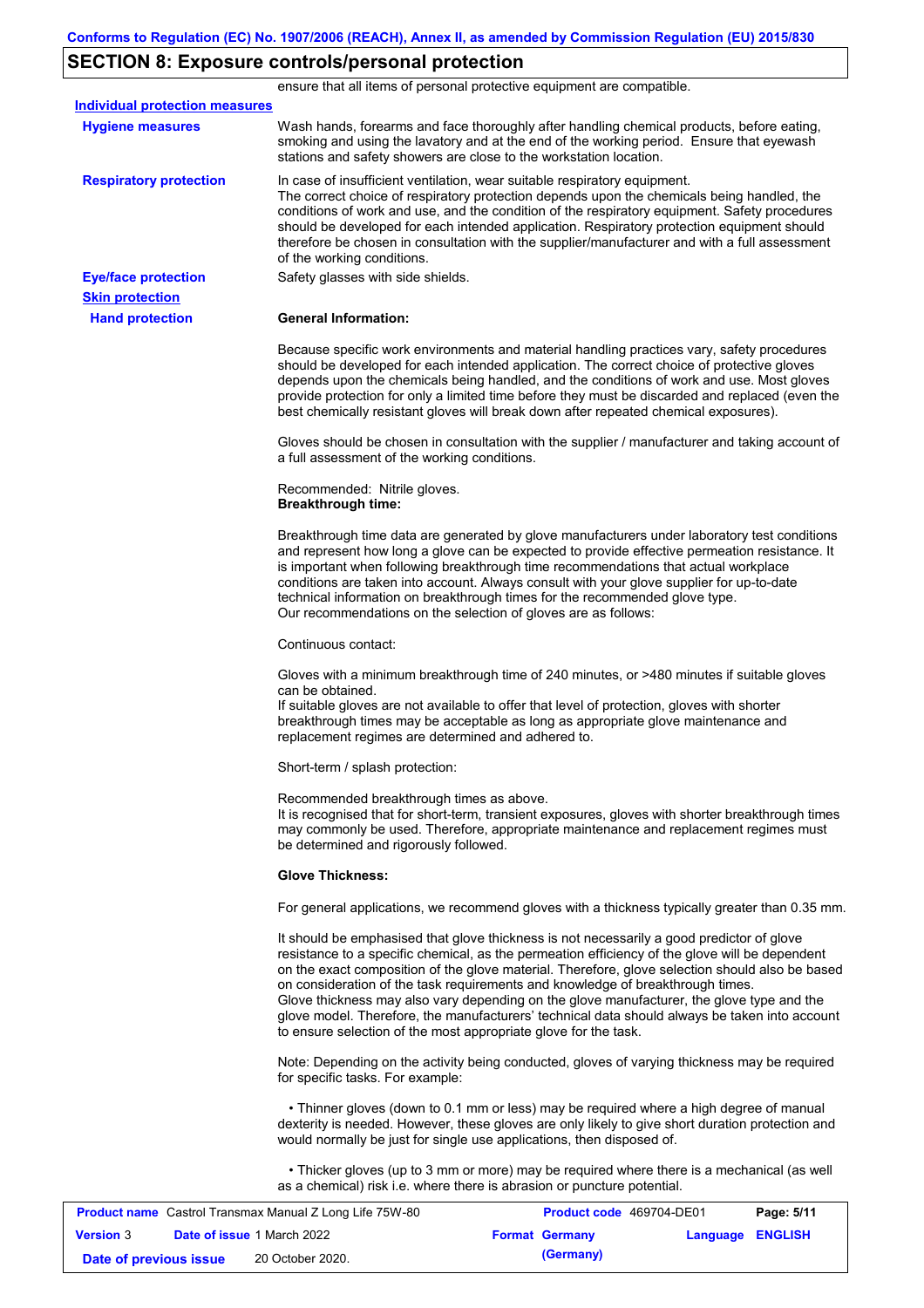### **SECTION 8: Exposure controls/personal protection**

**Hand protection** In case of insufficient ventilation, wear suitable respiratory equipment. The correct choice of respiratory protection depends upon the chemicals being handled, the conditions of work and use, and the condition of the respiratory equipment. Safety procedures should be developed for each intended application. Respiratory protection equipment should therefore be chosen in consultation with the supplier/manufacturer and with a full assessment of the working conditions. **General Information:** Because specific work environments and material handling practices vary, safety procedures should be developed for each intended application. The correct choice of protective gloves depends upon the chemicals being handled, and the conditions of work and use. Most gloves provide protection for only a limited time before they must be discarded and replaced (even the best chemically resistant gloves will break down after repeated chemical exposures). Gloves should be chosen in consultation with the supplier / manufacturer and taking account of a full assessment of the working conditions. Recommended: Nitrile gloves. **Breakthrough time:** Breakthrough time data are generated by glove manufacturers under laboratory test conditions and represent how long a glove can be expected to provide effective permeation resistance. It is important when following breakthrough time recommendations that actual workplace conditions are taken into account. Always consult with your glove supplier for up-to-date technical information on breakthrough times for the recommended glove type. Our recommendations on the selection of gloves are as follows: Continuous contact: Gloves with a minimum breakthrough time of 240 minutes, or >480 minutes if suitable gloves can be obtained. If suitable gloves are not available to offer that level of protection, gloves with shorter breakthrough times may be acceptable as long as appropriate glove maintenance and replacement regimes are determined and adhered to. Short-term / splash protection: Recommended breakthrough times as above. It is recognised that for short-term, transient exposures, gloves with shorter breakthrough times may commonly be used. Therefore, appropriate maintenance and replacement regimes must be determined and rigorously followed. **Glove Thickness:** For general applications, we recommend gloves with a thickness typically greater than 0.35 mm. It should be emphasised that glove thickness is not necessarily a good predictor of glove resistance to a specific chemical, as the permeation efficiency of the glove will be dependent on the exact composition of the glove material. Therefore, glove selection should also be based on consideration of the task requirements and knowledge of breakthrough times. Glove thickness may also vary depending on the glove manufacturer, the glove type and the glove model. Therefore, the manufacturers' technical data should always be taken into account to ensure selection of the most appropriate glove for the task. Note: Depending on the activity being conducted, gloves of varying thickness may be required for specific tasks. For example: • Thinner gloves (down to 0.1 mm or less) may be required where a high degree of manual dexterity is needed. However, these gloves are only likely to give short duration protection and would normally be just for single use applications, then disposed of. • Thicker gloves (up to 3 mm or more) may be required where there is a mechanical (as well as a chemical) risk i.e. where there is abrasion or puncture potential. **Eye/face protection** Safety glasses with side shields. **Respiratory protection Skin protection** ensure that all items of personal protective equipment are compatible. Wash hands, forearms and face thoroughly after handling chemical products, before eating, smoking and using the lavatory and at the end of the working period. Ensure that eyewash stations and safety showers are close to the workstation location. **Hygiene measures Individual protection measures Product name** Castrol Transmax Manual Z Long Life 75W-80 **Product code** 469704-DE01 **Page: 5/11**

| <b>Product name</b> Castrol Transmax Manual Z Long Life 75W-80 |                                   | <b>Product code</b> 469704-DE01 |                  | Page: 5/11 |
|----------------------------------------------------------------|-----------------------------------|---------------------------------|------------------|------------|
| <b>Version</b> 3                                               | <b>Date of issue 1 March 2022</b> | <b>Format Germany</b>           | Language ENGLISH |            |
| Date of previous issue                                         | 20 October 2020.                  | (Germany)                       |                  |            |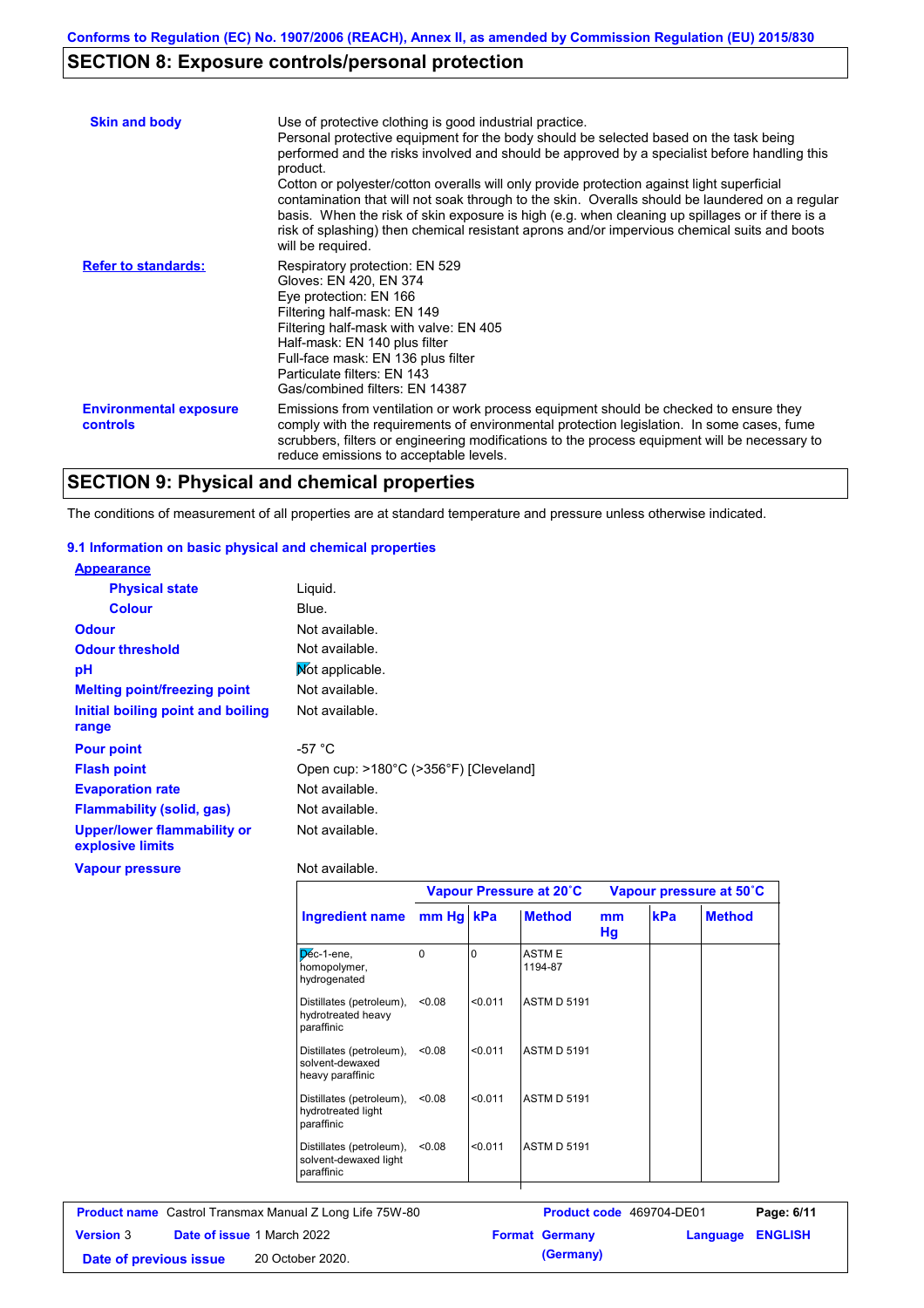### **SECTION 8: Exposure controls/personal protection**

| <b>Skin and body</b>                             | Use of protective clothing is good industrial practice.<br>Personal protective equipment for the body should be selected based on the task being<br>performed and the risks involved and should be approved by a specialist before handling this<br>product.<br>Cotton or polyester/cotton overalls will only provide protection against light superficial<br>contamination that will not soak through to the skin. Overalls should be laundered on a regular<br>basis. When the risk of skin exposure is high (e.g. when cleaning up spillages or if there is a<br>risk of splashing) then chemical resistant aprons and/or impervious chemical suits and boots<br>will be required. |
|--------------------------------------------------|---------------------------------------------------------------------------------------------------------------------------------------------------------------------------------------------------------------------------------------------------------------------------------------------------------------------------------------------------------------------------------------------------------------------------------------------------------------------------------------------------------------------------------------------------------------------------------------------------------------------------------------------------------------------------------------|
| <b>Refer to standards:</b>                       | Respiratory protection: EN 529<br>Gloves: EN 420, EN 374<br>Eye protection: EN 166<br>Filtering half-mask: EN 149<br>Filtering half-mask with valve: EN 405<br>Half-mask: EN 140 plus filter<br>Full-face mask: EN 136 plus filter<br>Particulate filters: EN 143<br>Gas/combined filters: EN 14387                                                                                                                                                                                                                                                                                                                                                                                   |
| <b>Environmental exposure</b><br><b>controls</b> | Emissions from ventilation or work process equipment should be checked to ensure they<br>comply with the requirements of environmental protection legislation. In some cases, fume<br>scrubbers, filters or engineering modifications to the process equipment will be necessary to<br>reduce emissions to acceptable levels.                                                                                                                                                                                                                                                                                                                                                         |

#### **SECTION 9: Physical and chemical properties**

The conditions of measurement of all properties are at standard temperature and pressure unless otherwise indicated.

#### **9.1 Information on basic physical and chemical properties**

| <b>Appearance</b>                                      |                                       |
|--------------------------------------------------------|---------------------------------------|
| <b>Physical state</b>                                  | Liguid.                               |
| <b>Colour</b>                                          | Blue.                                 |
| <b>Odour</b>                                           | Not available.                        |
| <b>Odour threshold</b>                                 | Not available.                        |
| рH                                                     | Mot applicable.                       |
| <b>Melting point/freezing point</b>                    | Not available.                        |
| Initial boiling point and boiling<br>range             | Not available.                        |
|                                                        | -57 °C                                |
| <b>Pour point</b>                                      |                                       |
| <b>Flash point</b>                                     | Open cup: >180°C (>356°F) [Cleveland] |
| <b>Evaporation rate</b>                                | Not available.                        |
| <b>Flammability (solid, gas)</b>                       | Not available.                        |
| <b>Upper/lower flammability or</b><br>explosive limits | Not available.                        |
| <b>Vapour pressure</b>                                 | Not available.                        |

**Ingredient name Vapour Pressure at 20˚C Vapour pressure at 50˚C mm Hg kPa Method mm Hg Method** Déc-1-ene, homopolymer, hydrogenated 0 **ASTME** 1194-87 Distillates (petroleum), <0.08 hydrotreated heavy paraffinic <0.08 <0.011 ASTM D 5191 Distillates (petroleum), <0.08 solvent-dewaxed heavy paraffinic <0.08 <0.011 ASTM D 5191 Distillates (petroleum), <0.08 hydrotreated light paraffinic <0.08 <0.011 ASTM D 5191 Distillates (petroleum), <0.08 solvent-dewaxed light paraffinic <0.08 <0.011 ASTM D 5191

| <b>Product name</b> Castrol Transmax Manual Z Long Life 75W-80 |  | <b>Product code</b> 469704-DE01   |  | Page: 6/11            |                         |  |
|----------------------------------------------------------------|--|-----------------------------------|--|-----------------------|-------------------------|--|
| <b>Version 3</b>                                               |  | <b>Date of issue 1 March 2022</b> |  | <b>Format Germany</b> | <b>Language ENGLISH</b> |  |
| Date of previous issue                                         |  | 20 October 2020.                  |  | (Germany)             |                         |  |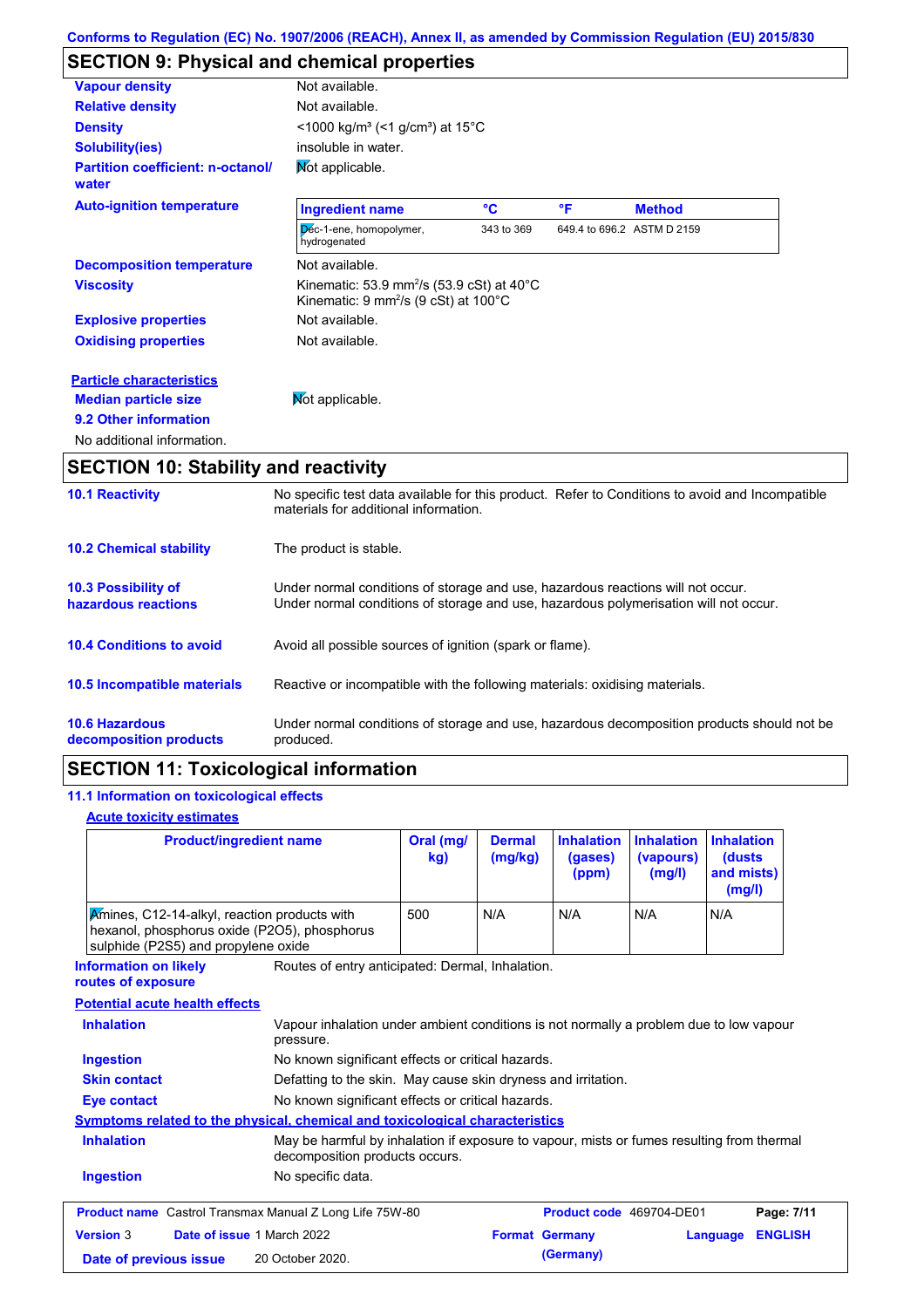### **SECTION 9: Physical and chemical properties**

| <b>Vapour density</b>                             | Not available.                                                                                                                       |            |    |                            |
|---------------------------------------------------|--------------------------------------------------------------------------------------------------------------------------------------|------------|----|----------------------------|
| <b>Relative density</b>                           | Not available.                                                                                                                       |            |    |                            |
| <b>Density</b>                                    | $<$ 1000 kg/m <sup>3</sup> (<1 g/cm <sup>3</sup> ) at 15 <sup>°</sup> C                                                              |            |    |                            |
| <b>Solubility(ies)</b>                            | insoluble in water.                                                                                                                  |            |    |                            |
| <b>Partition coefficient: n-octanol/</b><br>water | Mot applicable.                                                                                                                      |            |    |                            |
| <b>Auto-ignition temperature</b>                  | <b>Ingredient name</b>                                                                                                               | °C         | °F | <b>Method</b>              |
|                                                   | Déc-1-ene, homopolymer,<br>hydrogenated                                                                                              | 343 to 369 |    | 649.4 to 696.2 ASTM D 2159 |
| <b>Decomposition temperature</b>                  | Not available.                                                                                                                       |            |    |                            |
| <b>Viscosity</b>                                  | Kinematic: 53.9 mm <sup>2</sup> /s (53.9 cSt) at 40 $^{\circ}$ C<br>Kinematic: $9 \text{ mm}^2\text{/s}$ (9 cSt) at 100 $^{\circ}$ C |            |    |                            |
| <b>Explosive properties</b>                       | Not available.                                                                                                                       |            |    |                            |
| <b>Oxidising properties</b>                       | Not available.                                                                                                                       |            |    |                            |
| <b>Particle characteristics</b>                   |                                                                                                                                      |            |    |                            |
| <b>Median particle size</b>                       | Mot applicable.                                                                                                                      |            |    |                            |
| 9.2 Other information                             |                                                                                                                                      |            |    |                            |
| No additional information.                        |                                                                                                                                      |            |    |                            |

## **SECTION 10: Stability and reactivity**

| <b>10.1 Reactivity</b>                            | No specific test data available for this product. Refer to Conditions to avoid and Incompatible<br>materials for additional information.                                |
|---------------------------------------------------|-------------------------------------------------------------------------------------------------------------------------------------------------------------------------|
| <b>10.2 Chemical stability</b>                    | The product is stable.                                                                                                                                                  |
| <b>10.3 Possibility of</b><br>hazardous reactions | Under normal conditions of storage and use, hazardous reactions will not occur.<br>Under normal conditions of storage and use, hazardous polymerisation will not occur. |
| <b>10.4 Conditions to avoid</b>                   | Avoid all possible sources of ignition (spark or flame).                                                                                                                |
| 10.5 Incompatible materials                       | Reactive or incompatible with the following materials: oxidising materials.                                                                                             |
| <b>10.6 Hazardous</b><br>decomposition products   | Under normal conditions of storage and use, hazardous decomposition products should not be<br>produced.                                                                 |

### **SECTION 11: Toxicological information**

#### **11.1 Information on toxicological effects**

#### **Acute toxicity estimates**

| <b>Product/ingredient name</b>                                                                                                      | Oral (mg/<br>kg)                                                                                                            | <b>Dermal</b><br>(mg/kg) | <b>Inhalation</b><br>(gases)<br>(ppm) | <b>Inhalation</b><br>(vapours)<br>(mg/l) | <b>Inhalation</b><br>(dusts<br>and mists)<br>(mg/l) |  |
|-------------------------------------------------------------------------------------------------------------------------------------|-----------------------------------------------------------------------------------------------------------------------------|--------------------------|---------------------------------------|------------------------------------------|-----------------------------------------------------|--|
| Amines, C12-14-alkyl, reaction products with<br>hexanol, phosphorus oxide (P2O5), phosphorus<br>sulphide (P2S5) and propylene oxide | 500                                                                                                                         | N/A                      | N/A                                   | N/A                                      | N/A                                                 |  |
| <b>Information on likely</b><br>routes of exposure                                                                                  | Routes of entry anticipated: Dermal, Inhalation.                                                                            |                          |                                       |                                          |                                                     |  |
| <b>Potential acute health effects</b>                                                                                               |                                                                                                                             |                          |                                       |                                          |                                                     |  |
| <b>Inhalation</b><br>pressure.                                                                                                      | Vapour inhalation under ambient conditions is not normally a problem due to low vapour                                      |                          |                                       |                                          |                                                     |  |
| <b>Ingestion</b>                                                                                                                    | No known significant effects or critical hazards.                                                                           |                          |                                       |                                          |                                                     |  |
| <b>Skin contact</b>                                                                                                                 | Defatting to the skin. May cause skin dryness and irritation.                                                               |                          |                                       |                                          |                                                     |  |
| No known significant effects or critical hazards.<br><b>Eye contact</b>                                                             |                                                                                                                             |                          |                                       |                                          |                                                     |  |
| <b>Symptoms related to the physical, chemical and toxicological characteristics</b>                                                 |                                                                                                                             |                          |                                       |                                          |                                                     |  |
| <b>Inhalation</b>                                                                                                                   | May be harmful by inhalation if exposure to vapour, mists or fumes resulting from thermal<br>decomposition products occurs. |                          |                                       |                                          |                                                     |  |
| <b>Ingestion</b><br>No specific data.                                                                                               |                                                                                                                             |                          |                                       |                                          |                                                     |  |
| <b>Product name</b> Castrol Transmax Manual Z Long Life 75W-80                                                                      |                                                                                                                             |                          | Product code 469704-DE01              |                                          | Page: 7/11                                          |  |
| Date of issue 1 March 2022<br><b>Version 3</b>                                                                                      |                                                                                                                             | <b>Format Germany</b>    |                                       |                                          | <b>ENGLISH</b><br>Language                          |  |
| 20 October 2020.<br>Date of previous issue                                                                                          |                                                                                                                             |                          | (Germany)                             |                                          |                                                     |  |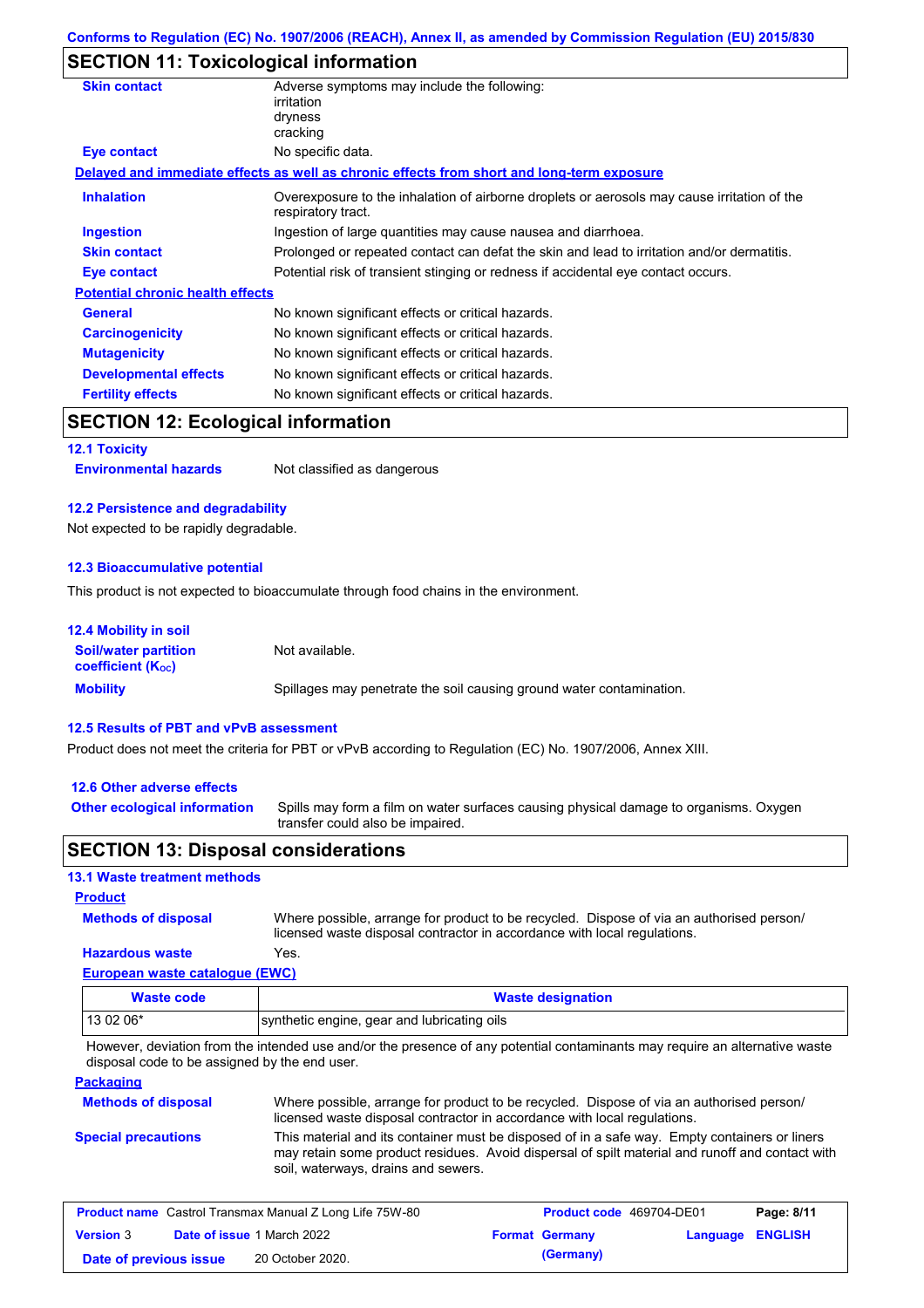### **SECTION 11: Toxicological information**

| <b>Skin contact</b>                       | Adverse symptoms may include the following:                                                                       |
|-------------------------------------------|-------------------------------------------------------------------------------------------------------------------|
|                                           | irritation                                                                                                        |
|                                           | dryness                                                                                                           |
|                                           | cracking                                                                                                          |
| Eye contact                               | No specific data.                                                                                                 |
|                                           | Delayed and immediate effects as well as chronic effects from short and long-term exposure                        |
| <b>Inhalation</b>                         | Overexposure to the inhalation of airborne droplets or aerosols may cause irritation of the<br>respiratory tract. |
| <b>Ingestion</b>                          | Ingestion of large quantities may cause nausea and diarrhoea.                                                     |
| <b>Skin contact</b>                       | Prolonged or repeated contact can defat the skin and lead to irritation and/or dermatitis.                        |
| <b>Eye contact</b>                        | Potential risk of transient stinging or redness if accidental eye contact occurs.                                 |
| <b>Potential chronic health effects</b>   |                                                                                                                   |
| <b>General</b>                            | No known significant effects or critical hazards.                                                                 |
| <b>Carcinogenicity</b>                    | No known significant effects or critical hazards.                                                                 |
| <b>Mutagenicity</b>                       | No known significant effects or critical hazards.                                                                 |
| <b>Developmental effects</b>              | No known significant effects or critical hazards.                                                                 |
| <b>Fertility effects</b>                  | No known significant effects or critical hazards.                                                                 |
| <b>SECTION 12: Ecological information</b> |                                                                                                                   |
| <b>12.1 Toxicity</b>                      |                                                                                                                   |

**Environmental hazards** Not classified as dangerous

#### **12.2 Persistence and degradability**

Not expected to be rapidly degradable.

#### **12.3 Bioaccumulative potential**

This product is not expected to bioaccumulate through food chains in the environment.

| <b>12.4 Mobility in soil</b>                            |                                                                      |
|---------------------------------------------------------|----------------------------------------------------------------------|
| <b>Soil/water partition</b><br><b>coefficient (Koc)</b> | Not available.                                                       |
| <b>Mobility</b>                                         | Spillages may penetrate the soil causing ground water contamination. |

#### **12.5 Results of PBT and vPvB assessment**

Product does not meet the criteria for PBT or vPvB according to Regulation (EC) No. 1907/2006, Annex XIII.

#### **12.6 Other adverse effects**

**Other ecological information**

Spills may form a film on water surfaces causing physical damage to organisms. Oxygen transfer could also be impaired.

#### **SECTION 13: Disposal considerations**

#### **13.1 Waste treatment methods**

**Methods of disposal**

#### **Product**

Where possible, arrange for product to be recycled. Dispose of via an authorised person/ licensed waste disposal contractor in accordance with local regulations.

### **Hazardous waste** Yes.

|  | European waste catalogue (EWC) |  |
|--|--------------------------------|--|
|  |                                |  |

| Waste code | <b>Waste designation</b>                    |
|------------|---------------------------------------------|
| 13 02 06*  | synthetic engine, gear and lubricating oils |

However, deviation from the intended use and/or the presence of any potential contaminants may require an alternative waste disposal code to be assigned by the end user.

#### **Packaging**

| <b>Methods of disposal</b> | Where possible, arrange for product to be recycled. Dispose of via an authorised person/                                                                                                                                                |
|----------------------------|-----------------------------------------------------------------------------------------------------------------------------------------------------------------------------------------------------------------------------------------|
|                            | licensed waste disposal contractor in accordance with local regulations.                                                                                                                                                                |
| <b>Special precautions</b> | This material and its container must be disposed of in a safe way. Empty containers or liners<br>may retain some product residues. Avoid dispersal of spilt material and runoff and contact with<br>soil, waterways, drains and sewers. |

| <b>Product name</b> Castrol Transmax Manual Z Long Life 75W-80 |  |                                   | <b>Product code</b> 469704-DE01 |                       | Page: 8/11              |  |
|----------------------------------------------------------------|--|-----------------------------------|---------------------------------|-----------------------|-------------------------|--|
| <b>Version 3</b>                                               |  | <b>Date of issue 1 March 2022</b> |                                 | <b>Format Germany</b> | <b>Language ENGLISH</b> |  |
| Date of previous issue                                         |  | 20 October 2020.                  |                                 | (Germany)             |                         |  |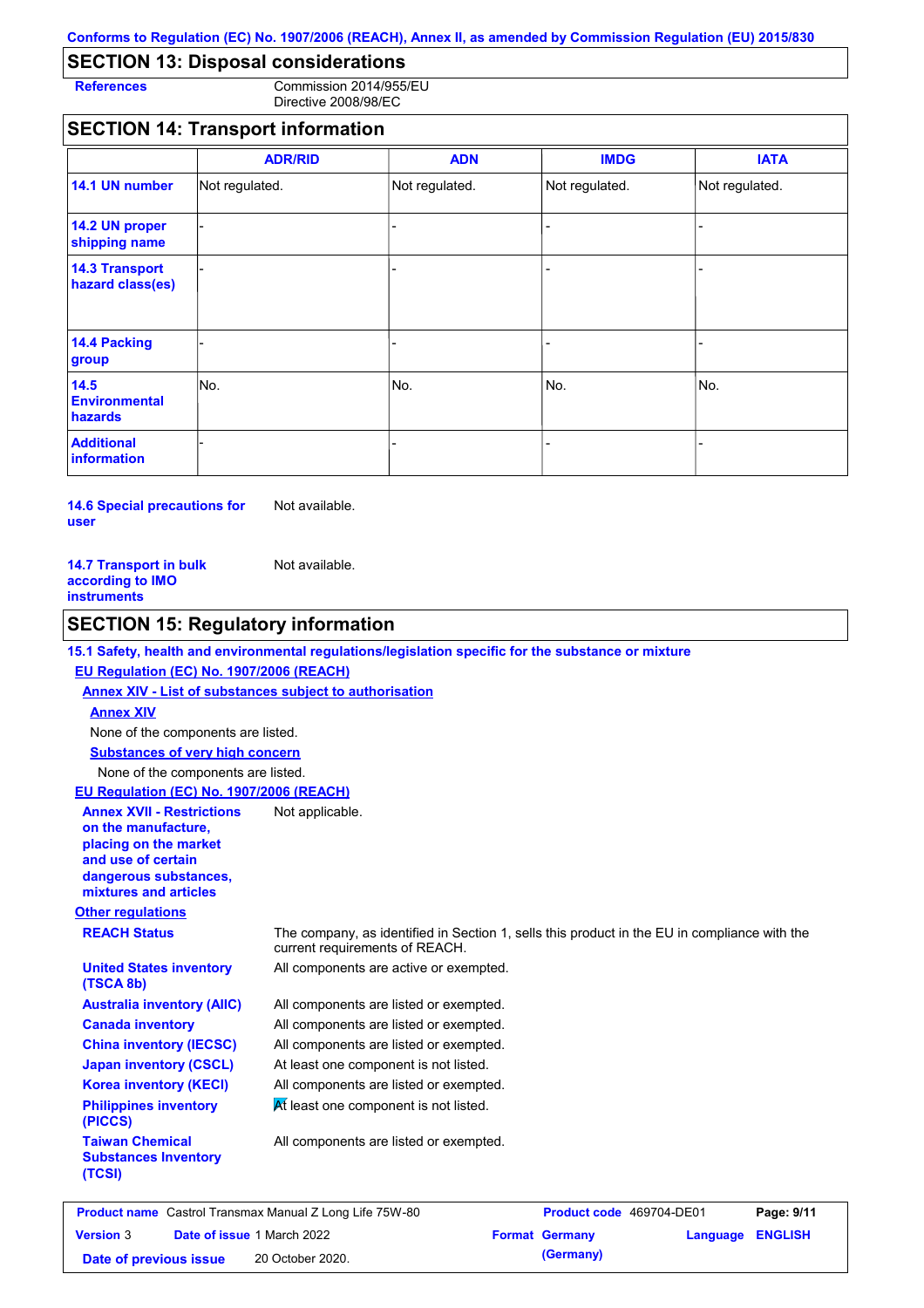### **SECTION 13: Disposal considerations**

**References** Commission 2014/955/EU Directive 2008/98/EC

#### **SECTION 14: Transport information**

|                                           | <b>ADR/RID</b> | <b>ADN</b>     | <b>IMDG</b>    | <b>IATA</b>    |
|-------------------------------------------|----------------|----------------|----------------|----------------|
| 14.1 UN number                            | Not regulated. | Not regulated. | Not regulated. | Not regulated. |
| 14.2 UN proper<br>shipping name           |                |                |                |                |
| <b>14.3 Transport</b><br>hazard class(es) |                |                | ۰              |                |
| 14.4 Packing<br>group                     |                |                | $\blacksquare$ |                |
| 14.5<br><b>Environmental</b><br>hazards   | No.            | No.            | No.            | No.            |
| <b>Additional</b><br>information          |                |                |                |                |

**14.6 Special precautions for user** Not available.

| <b>14.7 Transport in bulk</b> | Not available. |
|-------------------------------|----------------|
| according to IMO              |                |
| instruments                   |                |

#### **SECTION 15: Regulatory information**

#### **15.1 Safety, health and environmental regulations/legislation specific for the substance or mixture**

#### **EU Regulation (EC) No. 1907/2006 (REACH)**

**Annex XIV - List of substances subject to authorisation Substances of very high concern** None of the components are listed. None of the components are listed. **Annex XIV**

**EU Regulation (EC) No. 1907/2006 (REACH)**

#### **Annex XVII - Restrictions**  Not applicable.

**on the manufacture, placing on the market and use of certain dangerous substances, mixtures and articles**

**United States inventory** 

**Australia inventory (AIIC) Canada inventory China inventory (IECSC) Japan inventory (CSCL) Korea inventory (KECI) Philippines inventory** 

#### **Other regulations**

**(TSCA 8b)**

**(PICCS)**

**(TCSI)**

**Taiwan Chemical Substances Inventory** 

**REACH Status** The company, as identified in Section 1, sells this product in the EU in compliance with the current requirements of REACH.

All components are active or exempted.

All components are listed or exempted. All components are listed or exempted. All components are listed or exempted. At least one component is not listed. All components are listed or exempted.

 $\overline{M}$  least one component is not listed.

All components are listed or exempted.

| <b>Product name</b> Castrol Transmax Manual Z Long Life 75W-80 |  |                                   | Product code 469704-DE01 |                       | Page: 9/11       |  |
|----------------------------------------------------------------|--|-----------------------------------|--------------------------|-----------------------|------------------|--|
| <b>Version 3</b>                                               |  | <b>Date of issue 1 March 2022</b> |                          | <b>Format Germany</b> | Language ENGLISH |  |
| Date of previous issue                                         |  | 20 October 2020.                  |                          | (Germany)             |                  |  |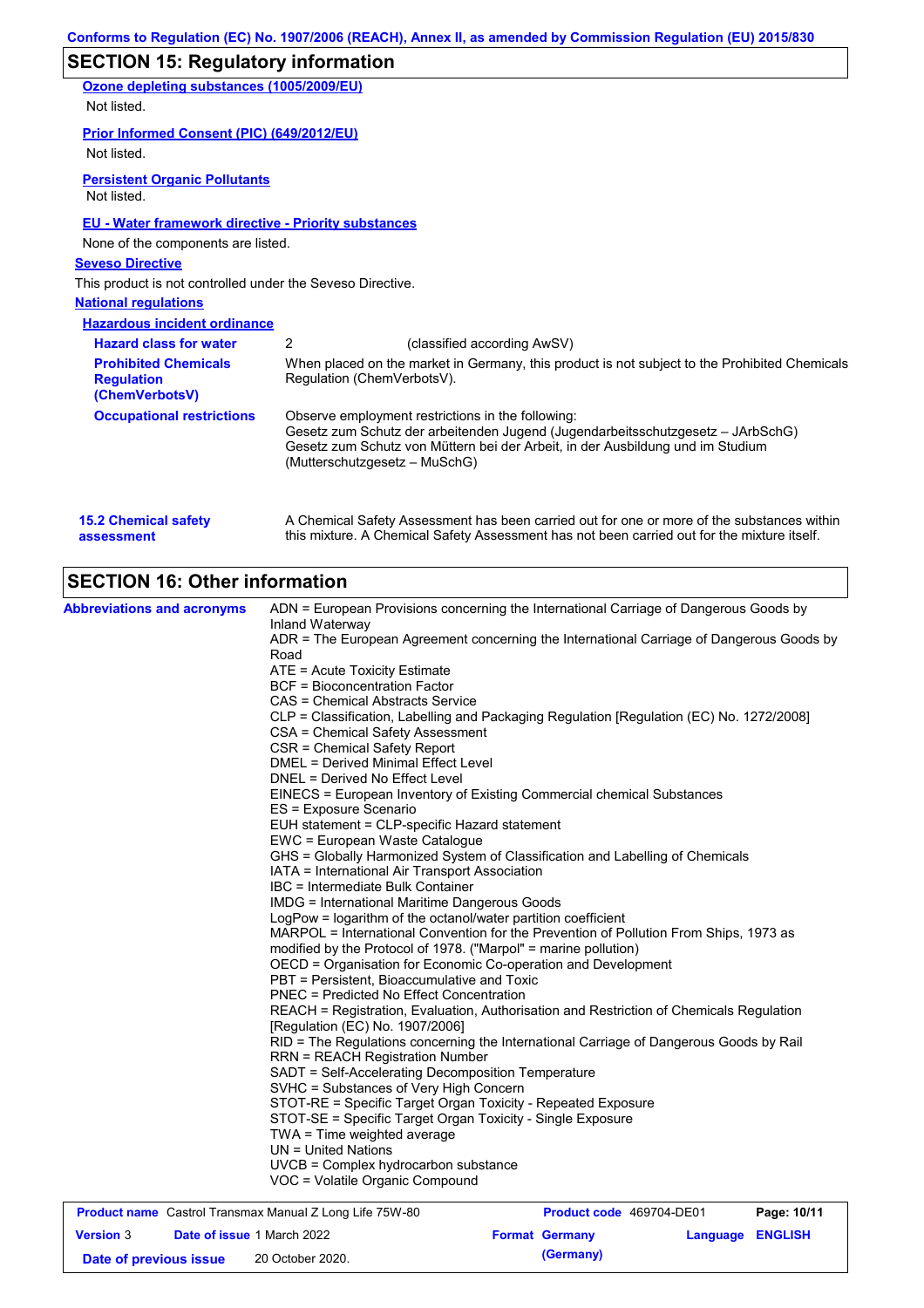|                                                                    | Conforms to Regulation (EC) No. 1907/2006 (REACH), Annex II, as amended by Commission Regulation (EU) 2015/830                                                                                                                                                                                                                 |
|--------------------------------------------------------------------|--------------------------------------------------------------------------------------------------------------------------------------------------------------------------------------------------------------------------------------------------------------------------------------------------------------------------------|
| <b>SECTION 15: Regulatory information</b>                          |                                                                                                                                                                                                                                                                                                                                |
| Ozone depleting substances (1005/2009/EU)                          |                                                                                                                                                                                                                                                                                                                                |
| Not listed.                                                        |                                                                                                                                                                                                                                                                                                                                |
| Prior Informed Consent (PIC) (649/2012/EU)                         |                                                                                                                                                                                                                                                                                                                                |
| Not listed.                                                        |                                                                                                                                                                                                                                                                                                                                |
| <b>Persistent Organic Pollutants</b><br>Not listed.                |                                                                                                                                                                                                                                                                                                                                |
| <b>EU - Water framework directive - Priority substances</b>        |                                                                                                                                                                                                                                                                                                                                |
| None of the components are listed.                                 |                                                                                                                                                                                                                                                                                                                                |
| <b>Seveso Directive</b>                                            |                                                                                                                                                                                                                                                                                                                                |
| This product is not controlled under the Seveso Directive.         |                                                                                                                                                                                                                                                                                                                                |
| <b>National requlations</b>                                        |                                                                                                                                                                                                                                                                                                                                |
| <b>Hazardous incident ordinance</b>                                |                                                                                                                                                                                                                                                                                                                                |
| <b>Hazard class for water</b>                                      | 2<br>(classified according AwSV)                                                                                                                                                                                                                                                                                               |
| <b>Prohibited Chemicals</b><br><b>Regulation</b><br>(ChemVerbotsV) | When placed on the market in Germany, this product is not subject to the Prohibited Chemicals<br>Regulation (ChemVerbotsV).                                                                                                                                                                                                    |
| <b>Occupational restrictions</b>                                   | Observe employment restrictions in the following:<br>Gesetz zum Schutz der arbeitenden Jugend (Jugendarbeitsschutzgesetz - JArbSchG)<br>Gesetz zum Schutz von Müttern bei der Arbeit, in der Ausbildung und im Studium<br>(Mutterschutzgesetz - MuSchG)                                                                        |
| <b>15.2 Chemical safety</b><br>assessment                          | A Chemical Safety Assessment has been carried out for one or more of the substances within<br>this mixture. A Chemical Safety Assessment has not been carried out for the mixture itself.                                                                                                                                      |
| <b>SECTION 16: Other information</b>                               |                                                                                                                                                                                                                                                                                                                                |
| <b>Abbreviations and acronyms</b>                                  | ADN = European Provisions concerning the International Carriage of Dangerous Goods by<br>Inland Waterway<br>ADR = The European Agreement concerning the International Carriage of Dangerous Goods by<br>Road<br>ATE = Acute Toxicity Estimate<br><b>BCF</b> = Bioconcentration Factor<br>$CAC = Chandra$ Abetroote Comparative |

| Abbreviations and acronyms                                     | ADN = European Provisions concerning the International Carriage of Dangerous Goods by                                                                                              |                          |          |                |  |  |  |
|----------------------------------------------------------------|------------------------------------------------------------------------------------------------------------------------------------------------------------------------------------|--------------------------|----------|----------------|--|--|--|
|                                                                | Inland Waterway                                                                                                                                                                    |                          |          |                |  |  |  |
|                                                                | ADR = The European Agreement concerning the International Carriage of Dangerous Goods by                                                                                           |                          |          |                |  |  |  |
|                                                                | Road                                                                                                                                                                               |                          |          |                |  |  |  |
|                                                                | ATE = Acute Toxicity Estimate                                                                                                                                                      |                          |          |                |  |  |  |
|                                                                | <b>BCF</b> = Bioconcentration Factor                                                                                                                                               |                          |          |                |  |  |  |
|                                                                | CAS = Chemical Abstracts Service                                                                                                                                                   |                          |          |                |  |  |  |
|                                                                | CLP = Classification, Labelling and Packaging Regulation [Regulation (EC) No. 1272/2008]                                                                                           |                          |          |                |  |  |  |
|                                                                | CSA = Chemical Safety Assessment                                                                                                                                                   |                          |          |                |  |  |  |
|                                                                | CSR = Chemical Safety Report                                                                                                                                                       |                          |          |                |  |  |  |
|                                                                | <b>DMEL = Derived Minimal Effect Level</b>                                                                                                                                         |                          |          |                |  |  |  |
|                                                                | DNEL = Derived No Effect Level                                                                                                                                                     |                          |          |                |  |  |  |
|                                                                | EINECS = European Inventory of Existing Commercial chemical Substances                                                                                                             |                          |          |                |  |  |  |
|                                                                | ES = Exposure Scenario                                                                                                                                                             |                          |          |                |  |  |  |
|                                                                | EUH statement = CLP-specific Hazard statement                                                                                                                                      |                          |          |                |  |  |  |
|                                                                | EWC = European Waste Catalogue                                                                                                                                                     |                          |          |                |  |  |  |
|                                                                | GHS = Globally Harmonized System of Classification and Labelling of Chemicals                                                                                                      |                          |          |                |  |  |  |
|                                                                | IATA = International Air Transport Association                                                                                                                                     |                          |          |                |  |  |  |
|                                                                | IBC = Intermediate Bulk Container                                                                                                                                                  |                          |          |                |  |  |  |
|                                                                | IMDG = International Maritime Dangerous Goods                                                                                                                                      |                          |          |                |  |  |  |
|                                                                | LogPow = logarithm of the octanol/water partition coefficient                                                                                                                      |                          |          |                |  |  |  |
|                                                                | MARPOL = International Convention for the Prevention of Pollution From Ships, 1973 as<br>modified by the Protocol of 1978. ("Marpol" = marine pollution)                           |                          |          |                |  |  |  |
|                                                                | OECD = Organisation for Economic Co-operation and Development                                                                                                                      |                          |          |                |  |  |  |
|                                                                | PBT = Persistent, Bioaccumulative and Toxic<br>PNEC = Predicted No Effect Concentration<br>REACH = Registration, Evaluation, Authorisation and Restriction of Chemicals Regulation |                          |          |                |  |  |  |
|                                                                |                                                                                                                                                                                    |                          |          |                |  |  |  |
|                                                                |                                                                                                                                                                                    |                          |          |                |  |  |  |
|                                                                | [Regulation (EC) No. 1907/2006]                                                                                                                                                    |                          |          |                |  |  |  |
|                                                                | RID = The Regulations concerning the International Carriage of Dangerous Goods by Rail                                                                                             |                          |          |                |  |  |  |
|                                                                | <b>RRN = REACH Registration Number</b>                                                                                                                                             |                          |          |                |  |  |  |
|                                                                | SADT = Self-Accelerating Decomposition Temperature                                                                                                                                 |                          |          |                |  |  |  |
|                                                                | SVHC = Substances of Very High Concern                                                                                                                                             |                          |          |                |  |  |  |
|                                                                | STOT-RE = Specific Target Organ Toxicity - Repeated Exposure                                                                                                                       |                          |          |                |  |  |  |
|                                                                | STOT-SE = Specific Target Organ Toxicity - Single Exposure                                                                                                                         |                          |          |                |  |  |  |
|                                                                | $TWA = Time$ weighted average                                                                                                                                                      |                          |          |                |  |  |  |
|                                                                | $UN = United Nations$                                                                                                                                                              |                          |          |                |  |  |  |
|                                                                | UVCB = Complex hydrocarbon substance                                                                                                                                               |                          |          |                |  |  |  |
|                                                                | VOC = Volatile Organic Compound                                                                                                                                                    |                          |          |                |  |  |  |
| <b>Product name</b> Castrol Transmax Manual Z Long Life 75W-80 |                                                                                                                                                                                    | Product code 469704-DE01 |          | Page: 10/11    |  |  |  |
| <b>Version 3</b><br>Date of issue 1 March 2022                 |                                                                                                                                                                                    | <b>Format Germany</b>    | Language | <b>ENGLISH</b> |  |  |  |
| Date of previous issue                                         | 20 October 2020.                                                                                                                                                                   | (Germany)                |          |                |  |  |  |